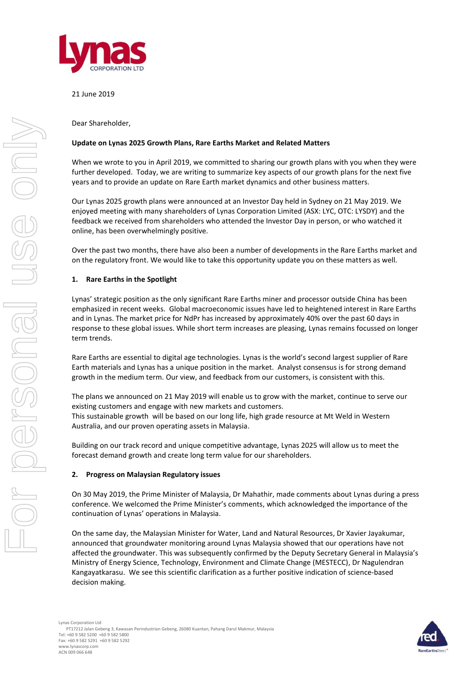

## 21 June 2019

Dear Shareholder,

### **Update on Lynas 2025 Growth Plans, Rare Earths Market and Related Matters**

When we wrote to you in April 2019, we committed to sharing our growth plans with you when they were further developed. Today, we are writing to summarize key aspects of our growth plans for the next five years and to provide an update on Rare Earth market dynamics and other business matters.

Our Lynas 2025 growth plans were announced at an Investor Day held in Sydney on 21 May 2019. We enjoyed meeting with many shareholders of Lynas Corporation Limited (ASX: LYC, OTC: LYSDY) and the feedback we received from shareholders who attended the Investor Day in person, or who watched it online, has been overwhelmingly positive.

Over the past two months, there have also been a number of developments in the Rare Earths market and on the regulatory front. We would like to take this opportunity update you on these matters as well.

### **1. Rare Earths in the Spotlight**

Lynas' strategic position as the only significant Rare Earths miner and processor outside China has been emphasized in recent weeks. Global macroeconomic issues have led to heightened interest in Rare Earths and in Lynas. The market price for NdPr has increased by approximately 40% over the past 60 days in response to these global issues. While short term increases are pleasing, Lynas remains focussed on longer term trends.

Rare Earths are essential to digital age technologies. Lynas is the world's second largest supplier of Rare Earth materials and Lynas has a unique position in the market. Analyst consensus is for strong demand growth in the medium term. Our view, and feedback from our customers, is consistent with this.

The plans we announced on 21 May 2019 will enable us to grow with the market, continue to serve our existing customers and engage with new markets and customers.

This sustainable growth will be based on our long life, high grade resource at Mt Weld in Western Australia, and our proven operating assets in Malaysia.

Building on our track record and unique competitive advantage, Lynas 2025 will allow us to meet the forecast demand growth and create long term value for our shareholders.

### **2. Progress on Malaysian Regulatory issues**

On 30 May 2019, the Prime Minister of Malaysia, Dr Mahathir, made comments about Lynas during a press conference. We welcomed the Prime Minister's comments, which acknowledged the importance of the continuation of Lynas' operations in Malaysia.

On the same day, the Malaysian Minister for Water, Land and Natural Resources, Dr Xavier Jayakumar, announced that groundwater monitoring around Lynas Malaysia showed that our operations have not affected the groundwater. This was subsequently confirmed by the Deputy Secretary General in Malaysia's Ministry of Energy Science, Technology, Environment and Climate Change (MESTECC), Dr Nagulendran Kangayatkarasu. We see this scientific clarification as a further positive indication of science-based decision making.

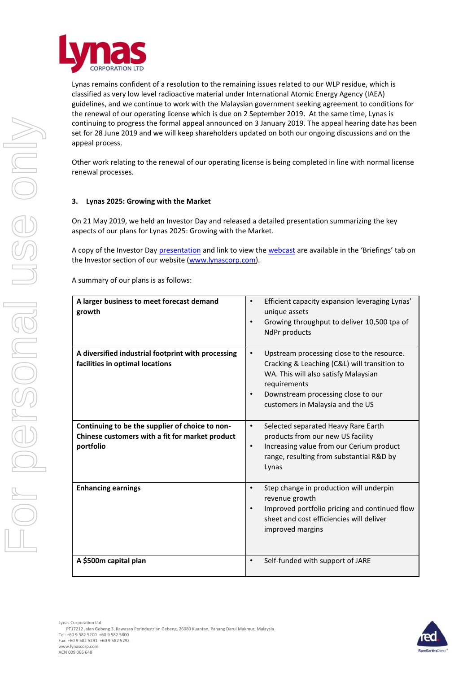

Lynas remains confident of a resolution to the remaining issues related to our WLP residue, which is classified as very low level radioactive material under International Atomic Energy Agency (IAEA) guidelines, and we continue to work with the Malaysian government seeking agreement to conditions for the renewal of our operating license which is due on 2 September 2019. At the same time, Lynas is continuing to progress the formal appeal announced on 3 January 2019. The appeal hearing date has been set for 28 June 2019 and we will keep shareholders updated on both our ongoing discussions and on the appeal process.

Other work relating to the renewal of our operating license is being completed in line with normal license renewal processes.

# **3. Lynas 2025: Growing with the Market**

On 21 May 2019, we held an Investor Day and released a detailed presentation summarizing the key aspects of our plans for Lynas 2025: Growing with the Market.

A copy of the Investor Day [presentation](https://www.lynascorp.com/Shared%20Documents/Lynas%202025%20-%20Growing%20with%20the%20Market%20Investor%20Day%20Presentation.pdf) and link to view the [webcast](https://edge.media-server.com/m6/p/vhrw6on2) are available in the 'Briefings' tab on the Investor section of our website [\(www.lynascorp.com\)](http://www.lynascorp.com/).

A summary of our plans is as follows:

| A larger business to meet forecast demand<br>growth                                                             | Efficient capacity expansion leveraging Lynas'<br>$\bullet$<br>unique assets<br>Growing throughput to deliver 10,500 tpa of<br>$\bullet$<br>NdPr products                                                                                              |
|-----------------------------------------------------------------------------------------------------------------|--------------------------------------------------------------------------------------------------------------------------------------------------------------------------------------------------------------------------------------------------------|
| A diversified industrial footprint with processing<br>facilities in optimal locations                           | Upstream processing close to the resource.<br>$\bullet$<br>Cracking & Leaching (C&L) will transition to<br>WA. This will also satisfy Malaysian<br>requirements<br>Downstream processing close to our<br>$\bullet$<br>customers in Malaysia and the US |
| Continuing to be the supplier of choice to non-<br>Chinese customers with a fit for market product<br>portfolio | Selected separated Heavy Rare Earth<br>$\bullet$<br>products from our new US facility<br>Increasing value from our Cerium product<br>$\bullet$<br>range, resulting from substantial R&D by<br>Lynas                                                    |
| <b>Enhancing earnings</b>                                                                                       | Step change in production will underpin<br>$\bullet$<br>revenue growth<br>Improved portfolio pricing and continued flow<br>$\bullet$<br>sheet and cost efficiencies will deliver<br>improved margins                                                   |
| A \$500m capital plan                                                                                           | Self-funded with support of JARE<br>$\bullet$                                                                                                                                                                                                          |



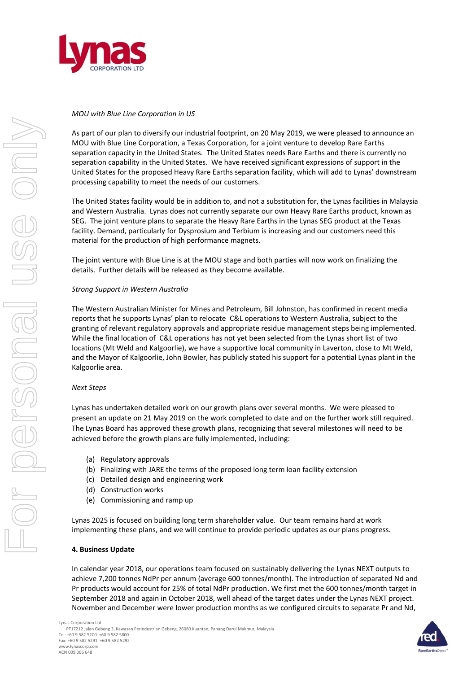

# *MOU with Blue Line Corporation in US*

As part of our plan to diversify our industrial footprint, on 20 May 2019, we were pleased to announce an MOU with Blue Line Corporation, a Texas Corporation, for a joint venture to develop Rare Earths separation capacity in the United States. The United States needs Rare Earths and there is currently no separation capability in the United States. We have received significant expressions of support in the United States for the proposed Heavy Rare Earths separation facility, which will add to Lynas' downstream processing capability to meet the needs of our customers.

The United States facility would be in addition to, and not a substitution for, the Lynas facilities in Malaysia and Western Australia. Lynas does not currently separate our own Heavy Rare Earths product, known as SEG. The joint venture plans to separate the Heavy Rare Earths in the Lynas SEG product at the Texas facility. Demand, particularly for Dysprosium and Terbium is increasing and our customers need this material for the production of high performance magnets.

The joint venture with Blue Line is at the MOU stage and both parties will now work on finalizing the details. Further details will be released as they become available.

## *Strong Support in Western Australia*

The Western Australian Minister for Mines and Petroleum, Bill Johnston, has confirmed in recent media reports that he supports Lynas' plan to relocate C&L operations to Western Australia, subject to the granting of relevant regulatory approvals and appropriate residue management steps being implemented. While the final location of C&L operations has not yet been selected from the Lynas short list of two locations (Mt Weld and Kalgoorlie), we have a supportive local community in Laverton, close to Mt Weld, and the Mayor of Kalgoorlie, John Bowler, has publicly stated his support for a potential Lynas plant in the Kalgoorlie area.

### *Next Steps*

Lynas has undertaken detailed work on our growth plans over several months. We were pleased to present an update on 21 May 2019 on the work completed to date and on the further work still required. The Lynas Board has approved these growth plans, recognizing that several milestones will need to be achieved before the growth plans are fully implemented, including:

- (a) Regulatory approvals
- (b) Finalizing with JARE the terms of the proposed long term loan facility extension
- (c) Detailed design and engineering work
- (d) Construction works
- (e) Commissioning and ramp up

Lynas 2025 is focused on building long term shareholder value. Our team remains hard at work implementing these plans, and we will continue to provide periodic updates as our plans progress.

### **4. Business Update**

In calendar year 2018, our operations team focused on sustainably delivering the Lynas NEXT outputs to achieve 7,200 tonnes NdPr per annum (average 600 tonnes/month). The introduction of separated Nd and Pr products would account for 25% of total NdPr production. We first met the 600 tonnes/month target in September 2018 and again in October 2018, well ahead of the target dates under the Lynas NEXT project. November and December were lower production months as we configured circuits to separate Pr and Nd,